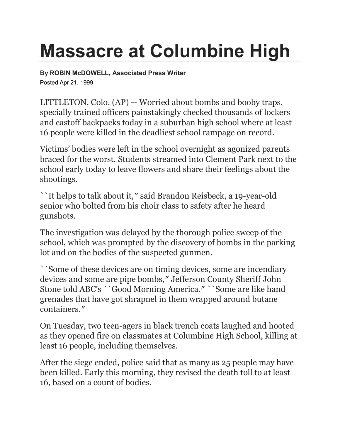## **Massacre at Columbine High**

**By ROBIN McDOWELL, Associated Press Writer** Posted Apr 21, 1999

LITTLETON, Colo. (AP) -- Worried about bombs and booby traps, specially trained officers painstakingly checked thousands of lockers and castoff backpacks today in a suburban high school where at least 16 people were killed in the deadliest school rampage on record.

Victims' bodies were left in the school overnight as agonized parents braced for the worst. Students streamed into Clement Park next to the school early today to leave flowers and share their feelings about the shootings.

``It helps to talk about it,″ said Brandon Reisbeck, a 19-year-old senior who bolted from his choir class to safety after he heard gunshots.

The investigation was delayed by the thorough police sweep of the school, which was prompted by the discovery of bombs in the parking lot and on the bodies of the suspected gunmen.

``Some of these devices are on timing devices, some are incendiary devices and some are pipe bombs,″ Jefferson County Sheriff John Stone told ABC's ``Good Morning America.″ ``Some are like hand grenades that have got shrapnel in them wrapped around butane containers.″

On Tuesday, two teen-agers in black trench coats laughed and hooted as they opened fire on classmates at Columbine High School, killing at least 16 people, including themselves.

After the siege ended, police said that as many as 25 people may have been killed. Early this morning, they revised the death toll to at least 16, based on a count of bodies.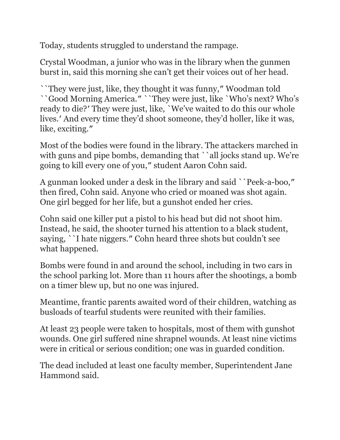Today, students struggled to understand the rampage.

Crystal Woodman, a junior who was in the library when the gunmen burst in, said this morning she can't get their voices out of her head.

``They were just, like, they thought it was funny,″ Woodman told ``Good Morning America.″ ``They were just, like `Who's next? Who's ready to die?′ They were just, like, `We've waited to do this our whole lives.′ And every time they'd shoot someone, they'd holler, like it was, like, exciting.″

Most of the bodies were found in the library. The attackers marched in with guns and pipe bombs, demanding that ``all jocks stand up. We're going to kill every one of you,″ student Aaron Cohn said.

A gunman looked under a desk in the library and said ``Peek-a-boo,″ then fired, Cohn said. Anyone who cried or moaned was shot again. One girl begged for her life, but a gunshot ended her cries.

Cohn said one killer put a pistol to his head but did not shoot him. Instead, he said, the shooter turned his attention to a black student, saying, ``I hate niggers.″ Cohn heard three shots but couldn't see what happened.

Bombs were found in and around the school, including in two cars in the school parking lot. More than 11 hours after the shootings, a bomb on a timer blew up, but no one was injured.

Meantime, frantic parents awaited word of their children, watching as busloads of tearful students were reunited with their families.

At least 23 people were taken to hospitals, most of them with gunshot wounds. One girl suffered nine shrapnel wounds. At least nine victims were in critical or serious condition; one was in guarded condition.

The dead included at least one faculty member, Superintendent Jane Hammond said.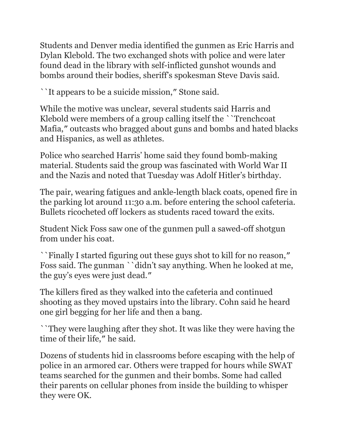Students and Denver media identified the gunmen as Eric Harris and Dylan Klebold. The two exchanged shots with police and were later found dead in the library with self-inflicted gunshot wounds and bombs around their bodies, sheriff's spokesman Steve Davis said.

``It appears to be a suicide mission,″ Stone said.

While the motive was unclear, several students said Harris and Klebold were members of a group calling itself the ``Trenchcoat Mafia,″ outcasts who bragged about guns and bombs and hated blacks and Hispanics, as well as athletes.

Police who searched Harris' home said they found bomb-making material. Students said the group was fascinated with World War II and the Nazis and noted that Tuesday was Adolf Hitler's birthday.

The pair, wearing fatigues and ankle-length black coats, opened fire in the parking lot around 11:30 a.m. before entering the school cafeteria. Bullets ricocheted off lockers as students raced toward the exits.

Student Nick Foss saw one of the gunmen pull a sawed-off shotgun from under his coat.

``Finally I started figuring out these guys shot to kill for no reason,″ Foss said. The gunman ``didn't say anything. When he looked at me, the guy's eyes were just dead.″

The killers fired as they walked into the cafeteria and continued shooting as they moved upstairs into the library. Cohn said he heard one girl begging for her life and then a bang.

``They were laughing after they shot. It was like they were having the time of their life,″ he said.

Dozens of students hid in classrooms before escaping with the help of police in an armored car. Others were trapped for hours while SWAT teams searched for the gunmen and their bombs. Some had called their parents on cellular phones from inside the building to whisper they were OK.